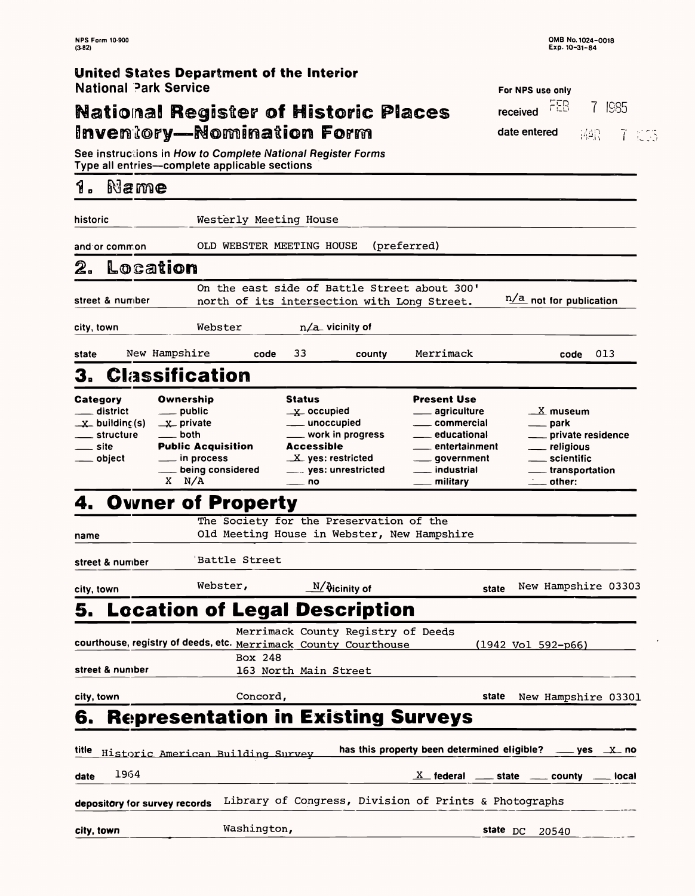**NPS Form 10-900** 

 $\langle \sigma \rangle$ 

**OMB No. 1024-0018** 

| Exp. 10-31-84<br>$(3-82)$                                                                                                   |                                                                                                                                                 |                                                                                                                                                                        |                                                                                                                                                                     |                                                                                                          |                                                      |
|-----------------------------------------------------------------------------------------------------------------------------|-------------------------------------------------------------------------------------------------------------------------------------------------|------------------------------------------------------------------------------------------------------------------------------------------------------------------------|---------------------------------------------------------------------------------------------------------------------------------------------------------------------|----------------------------------------------------------------------------------------------------------|------------------------------------------------------|
| United States Department of the Interior<br><b>National Park Service</b>                                                    |                                                                                                                                                 |                                                                                                                                                                        |                                                                                                                                                                     |                                                                                                          |                                                      |
|                                                                                                                             |                                                                                                                                                 |                                                                                                                                                                        |                                                                                                                                                                     | For NPS use only<br>FEB                                                                                  | ISS5                                                 |
|                                                                                                                             |                                                                                                                                                 | <b>National Register of Historic Places</b>                                                                                                                            |                                                                                                                                                                     | received                                                                                                 |                                                      |
|                                                                                                                             |                                                                                                                                                 | Inventory—Nomination Form                                                                                                                                              |                                                                                                                                                                     | date entered                                                                                             | 诸島<br>7 53                                           |
| Type all entries—complete applicable sections                                                                               |                                                                                                                                                 | See instructions in How to Complete National Register Forms                                                                                                            |                                                                                                                                                                     |                                                                                                          |                                                      |
| Name<br>1.                                                                                                                  |                                                                                                                                                 |                                                                                                                                                                        |                                                                                                                                                                     |                                                                                                          |                                                      |
| historic                                                                                                                    | Westerly Meeting House                                                                                                                          |                                                                                                                                                                        |                                                                                                                                                                     |                                                                                                          |                                                      |
| and or common                                                                                                               |                                                                                                                                                 | OLD WEBSTER MEETING HOUSE                                                                                                                                              | (preferred)                                                                                                                                                         |                                                                                                          |                                                      |
| Location<br>2.                                                                                                              |                                                                                                                                                 |                                                                                                                                                                        |                                                                                                                                                                     |                                                                                                          |                                                      |
| street & number                                                                                                             |                                                                                                                                                 | On the east side of Battle Street about 300'<br>north of its intersection with Long Street.                                                                            |                                                                                                                                                                     | $n/a$ not for publication                                                                                |                                                      |
| city, town                                                                                                                  | Webster                                                                                                                                         | $n/a$ vicinity of                                                                                                                                                      |                                                                                                                                                                     |                                                                                                          |                                                      |
| New Hampshire<br>state                                                                                                      | code                                                                                                                                            | 33<br>county                                                                                                                                                           | Merrimack                                                                                                                                                           |                                                                                                          | 013<br>code                                          |
| <b>3. Classification</b>                                                                                                    |                                                                                                                                                 |                                                                                                                                                                        |                                                                                                                                                                     |                                                                                                          |                                                      |
| <b>Category</b><br><b>district</b><br>$\underline{\mathbf{x}}$ building (s)<br>___ structure<br><u>__</u> site<br>__ object | Ownership<br>__ public<br>$\mathbf{X}$ private<br>both<br><b>Public Acquisition</b><br>$\equiv$ in process<br>___ being considered<br>$X$ $N/A$ | <b>Status</b><br>$\mathbf{X}$ occupied<br>____ unoccupied<br>___ work in progress<br><b>Accessible</b><br>$X$ yes: restricted<br>____ yes: unrestricted<br>$\equiv$ no | <b>Present Use</b><br>agriculture<br><u>__</u> __ commercial<br>educational____<br>entertainment<br>____ government<br><u>__</u> industrial<br><u>_</u> __ military | $\mathbf{X}$ museum<br>—— park<br><u>_</u> __ religious<br>___ scientific<br>$\rule{1em}{0.15mm}$ other: | ___ private residence<br><u>__</u> __ transportation |
| 4. Owner of Property                                                                                                        |                                                                                                                                                 |                                                                                                                                                                        |                                                                                                                                                                     |                                                                                                          |                                                      |
| name                                                                                                                        |                                                                                                                                                 | The Society for the Preservation of the<br>Old Meeting House in Webster, New Hampshire                                                                                 |                                                                                                                                                                     |                                                                                                          |                                                      |
| street & number                                                                                                             | 'Battle Street                                                                                                                                  |                                                                                                                                                                        |                                                                                                                                                                     |                                                                                                          |                                                      |
| city, town                                                                                                                  | Webster,                                                                                                                                        | $\underline{\mathbb{N}}/\mathfrak{d}$ icinity of                                                                                                                       | state                                                                                                                                                               |                                                                                                          | New Hampshire 03303                                  |
|                                                                                                                             |                                                                                                                                                 | <b>5. Location of Legal Description</b>                                                                                                                                |                                                                                                                                                                     |                                                                                                          |                                                      |
|                                                                                                                             |                                                                                                                                                 | Merrimack County Registry of Deeds                                                                                                                                     |                                                                                                                                                                     |                                                                                                          |                                                      |

| courthouse, registry of deeds, etc. Merrimack County Courthouse |                                                       |  |       | $(1942 \text{ Vol } 592-p66)$                                            |  |
|-----------------------------------------------------------------|-------------------------------------------------------|--|-------|--------------------------------------------------------------------------|--|
|                                                                 | Box 248                                               |  |       |                                                                          |  |
| street & number                                                 | 163 North Main Street                                 |  |       |                                                                          |  |
| city, town                                                      | Concord,                                              |  | state | New Hampshire 03301                                                      |  |
| <b>Representation in Existing Surveys</b><br>6.                 |                                                       |  |       |                                                                          |  |
| title<br>Historic American Building Survey                      |                                                       |  |       | has this property been determined eligible? $\_\_\_\$ yes $\_\_\_\_\$ no |  |
| 1964<br>date                                                    |                                                       |  |       | $X$ federal $x =$ state $x =$ county $x =$ local                         |  |
| depository for survey records                                   | Library of Congress, Division of Prints & Photographs |  |       |                                                                          |  |
| city, town                                                      | Washington,                                           |  |       | state DC 20540                                                           |  |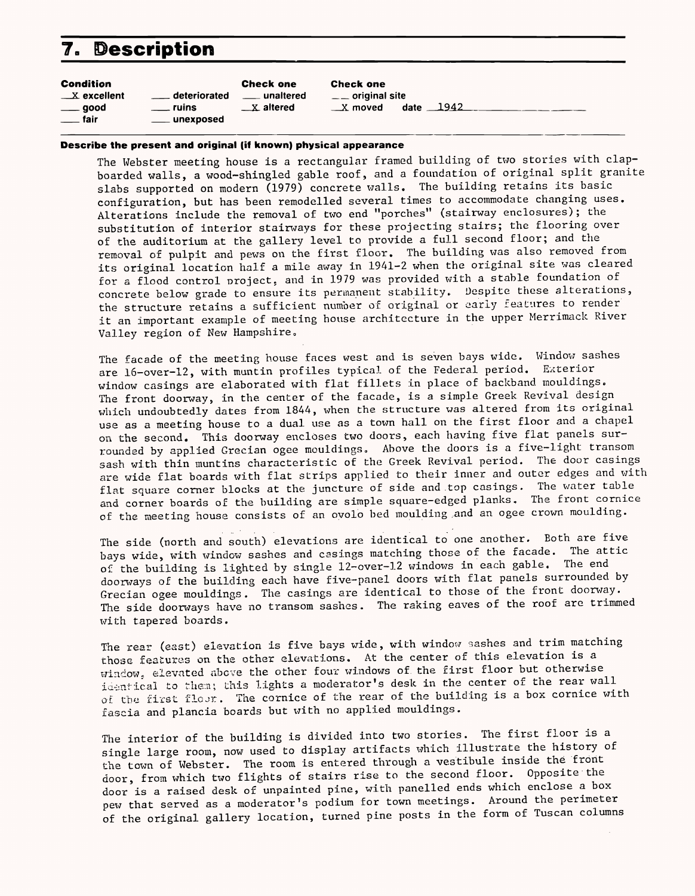## **7. Description**

| <b>Condition</b>            |                           | <b>Check one</b>     | <b>Check one</b>       |                 |
|-----------------------------|---------------------------|----------------------|------------------------|-----------------|
| $\mathbb{Z}$ excellent      | <u>__</u> __ deteriorated | unaltered            | $\equiv$ original site |                 |
| $\rule{1em}{0.15mm} = 500d$ | <u>__</u> _ ruins         | $\mathbf{X}$ altered | $\mathbb{R}$ moved     | date $\_\$ 1942 |
| <u>_</u> fair               | unexposed                 |                      |                        |                 |

The Webster meeting house is a rectangular framed building of two stories with clapboarded walls, a wood-shingled gable roof, and a foundation of original split granite slabs supported on modern (1979) concrete walls. The building retains its basic configuration, but has been remodelled several times to accommodate changing uses. Alterations include the removal of two end "porches" (stairway enclosures); the substitution of interior stairways for these projecting stairs; the flooring over of the auditorium at the gallery level to provide a full second floor; and the removal of pulpit and pews on the first floor. The building was also removed from its original location half a mile away in 1941-2 when the original site was cleared for a flood control project, and in 1979 was provided with a stable foundation of concrete below grade to ensure its permanent stability. Despite these alterations, the structure retains a sufficient number of original or early features to render it an important example of meeting house architecture in the upper Merrimack River Valley region of New Hampshire.

### **Describe the present and original (if known) physical appearance**

The facade of the meeting house faces west and is seven bays wide. Window sashes are l6-over-12, with muntin profiles typical of the Federal period. Exterior window casings are elaborated with flat fillets in place of backhand mouldings. The front doorway, in the center of the facade, is a simple Greek Revival design which undoubtedly dates from 1844, when the structure was altered from its original use as a meeting house to a dual use as a town hall on the first floor and a chapel on the second. This doorway encloses two doors, each having five flat panels surrounded by applied Grecian ogee mouldings. Above the doors is a five-light transom sash with thin muntins characteristic of the Greek Revival period. The door casings are wide flat boards with flat strips applied to their inner and outer edges and with flat square corner blocks at the juncture of side and .top casings. The water table and corner boards of the building are simple square-edged planks. The front cornice of the meeting house consists of an ovolo bed moulding and an ogee crown moulding.

The interior of the building is divided into two stories. The first floor is a single large room, now used to display artifacts which illustrate the history of the town of Webster. The room is entered through a vestibule inside the front door, from which two flights of stairs rise to the second floor. Opposite the door is a raised desk of unpainted pine, with panelled ends which enclose a box pew that served as a moderator's podium for town meetings. Around the perimeter of the original gallery location, turned pine posts in the form of Tuscan columns

The side (north and south) elevations are identical to one another. Both are five bays wide, with window sashes and casings matching those of the facade. The attic of the building is lighted by single 12-over-12 windows in each gable. The end doorways- of the building each have five-panel doors with flat panels surrounded by Grecian ogee mouldings. The casings are identical to those of the front doorway. The side doorways have no transom sashes. The raking eaves of the roof are trimmed with tapered boards.

The rear (east) elevation is five bays wide, with window sashes and trim matching those features on the other elevations. At the center of this elevation is a window, elevated above the other four windows of the first floor but otherwise identical to them; this lights a moderator's desk in the center of the rear wall of the first floor. The cornice of the rear of the building is a box cornice with fascia and plancia boards but with no applied mouldings.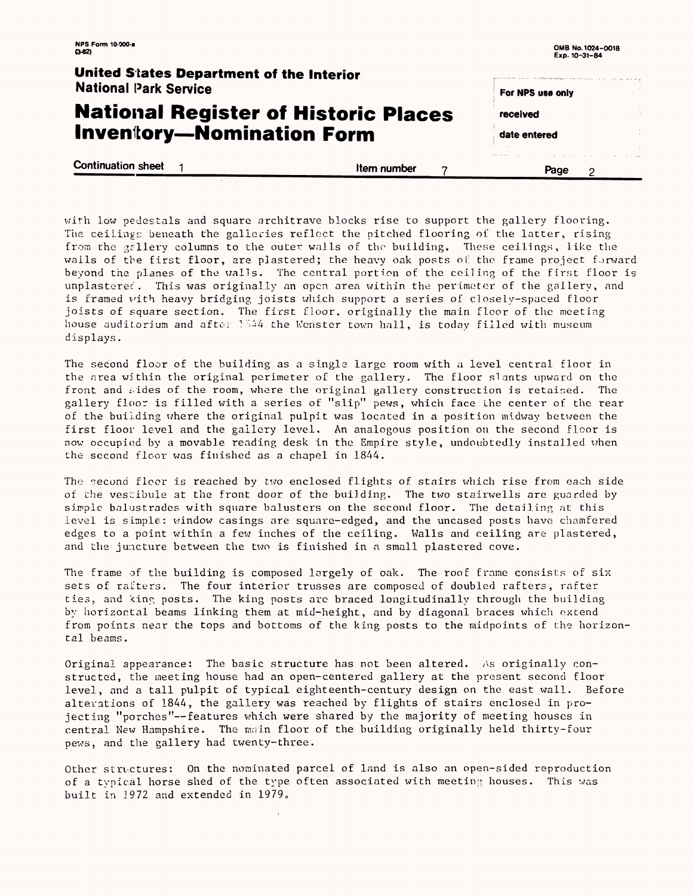| <b>NPS Form 10-000-a</b><br>$(3-62)$                                     |             | OMB No. 1024-0018<br>Exp. 10-31-84                                                                                 |
|--------------------------------------------------------------------------|-------------|--------------------------------------------------------------------------------------------------------------------|
| United States Department of the Interior<br><b>National Park Service</b> |             | التواعد الاستراد والمحروب المراديات المتحدة والمتناء ويوقع فليقتض والمعتقد والمتحدث والمتناوحة<br>For NPS use only |
| <b>National Register of Historic Places</b>                              |             | received                                                                                                           |
| <b>Inventory-Nomination Form</b>                                         |             | date entered                                                                                                       |
| <b>Continuation sheet</b>                                                | Item number | Page                                                                                                               |

The second floor of the building as a single large room with a level central floor in the area within the original perimeter of the gallery. The floor slants upward on the front and sides of the room, where the original gallery construction is retained. The gallery floor is filled with a series of "slip" pews, which face the center of the rear of the building where the original pulpit was located in a position midway between the first floor level and the gallery level. An analogous position on the second floor is now occupied by a movable reading desk in the Empire style, undoubtedly installed when the second floor was finished as a chapel in 1844.

with low pedestals and square architrave blocks rise to support the gallery flooring. The ceilings beneath the galleries reflect the pitched flooring of the latter, rising from the gallery columns to the outer walls of the building, These ceilings, like the wails of the first floor, are plastered; the heavy oak posts of the frame project forward beyond the planes of the walls. The central portion of the ceiling of the first floor is unplastered. This was originally an open area within the perimeter of the gallery, and is framed with heavy bridging joists which, support a series of closely-spaced floor joists of square section. The first floor, originally the main floor of the meeting house auditorium and after 1844 the Wenster town hall, is today filled with museum displays.

The second floor is reached by two enclosed flights of stairs which rise from each side of the vestibule at the front door of the building. The two stairwells are guarded by simple balustrades with square balusters on the second floor. The detailing at this level is simple: window casings are square-edged, and the uncased posts have chamfered edges to a point within a few inches of the ceiling. Walls and ceiling are plastered, and the juncture between the two is finished in a small plastered cove.

The frame of the building is composed largely of oak. The roof frame consists of six sets of rafters. The four interior trusses are composed of doubled rafters, rafter ties, and king posts. The king posts are braced longitudinally through the building by horizontal beams linking them at mid-height, and by diagonal braces which extend from points near the tops and bottoms of the king posts to the midpoints of the horizontal beams.

Original appearance: The basic structure has not been altered. As originally constructed, the meeting house had an open-centered gallery at the present second floor level, and a tall pulpit of typical eighteenth-century design on the east wall. Before alterations of 1844, the gallery was reached by flights of stairs enclosed in projecting "porches"--features which were shared by the majority of meeting houses in central New Hampshire. The main floor of the building originally held thirty-four pews, and the gallery had twenty-three.

Other structures: On the nominated parcel of land is also an open-sided reproduction of a typical horse shed of the type often associated with meeting houses. This was built in  $1972$  and extended in  $1979$ .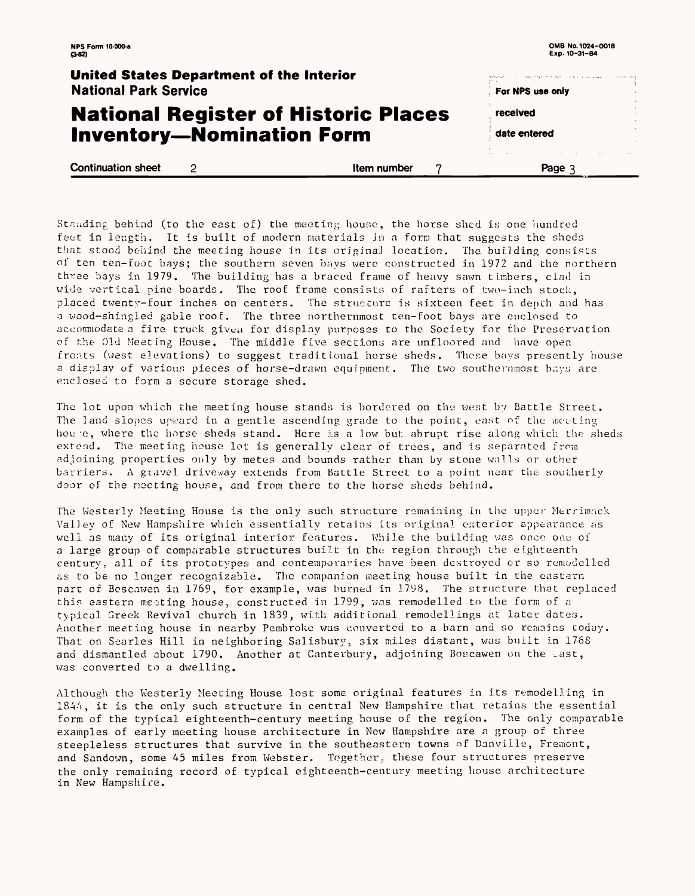| NPS Form 10-000-a<br>$(3-82)$                                                   |   |                                             |                  | OMB No. 1024-0018                     |
|---------------------------------------------------------------------------------|---|---------------------------------------------|------------------|---------------------------------------|
| <b>United States Department of the Interior</b><br><b>National Park Service</b> |   |                                             | For NPS use only | <b>Superintendent</b><br>$\mathbf{r}$ |
|                                                                                 |   | <b>National Register of Historic Places</b> | received         | $\mathbb{R}^2$<br>$\cdot$             |
|                                                                                 |   | <b>Inventory-Nomination Form</b>            | date entered     |                                       |
| <b>Continuation sheet</b>                                                       | 2 | Item number                                 | Page 3           |                                       |

Standing behind (to the east of) the meeting house, the horse shed is one hundred feet in length, It is built of modern materials in a form that suggests the sheds that stood behind the meeting house in its original location, The building consists oi ten ten-foot bays; the southern seven bays were, constructed in 1972 and the northern three bays in 1979. The building has a braced frame of heavy sawn timbers, clad in wide vertical pine boards. The roof frame consists of rafters of two-inch stock, placed twenty-four inches on centers. The structure is sixteen feet in depth and has a wood-shingled gable roof. The three northernmost ten-foot bays are enclosed to accommodate a fire truck given for display purposes to the Society for the Preservation of the Old Meeting House. The middle five sections are unfloored and have open fronts (west elevations) to suggest traditional horse sheds. These bays presently house a display of various pieces of horse-drawn equipment. The two southernmost bays are enclosed to form a secure storage shed.

The lot upon which the meeting house stands is bordered on the west by Battle Street. The land slopes upward in a gentle ascending grade to the point, east of the meeting hou-'e, where the horse sheds stand. Here is a low but abrupt rise along which the sheds extend. The meeting house lot is generally clear of trees, and is separated from adjoining properties only by metes and bounds rather than by stone walls or other barriers, A gravel driveway extends from Battle Street to a point near the southerly door of the meeting house, and from there to the horse sheds behind.

The Westerly Meeting House is the only such structure remaining in the upper Merrimack Valley of New Hampshire which essentially retains its original exterior appearance as well as many of its original interior features. While the building was once one of a large group of comparable structures built in the region through the eighteenth century, all of its prototypes and contemporaries have been destroyed or so remodelled as to be no longer recognizable. The companion meeting house built in the. eastern part of Boscawen in 1769, for example, was burned in 1798. The structure that replaced this eastern meeting house, constructed in 1799, was remodelled to the form of a typical Greek Revival church in 1839, with additional remodellings at later dates. Another meeting house in nearby Pembroke was converted to a barn and so remains today. That on Searles Hill in neighboring Salisbury, six miles distant, was built in 1768 and dismantled about 1790. Another at Canterbury, adjoining Boscawen on the east, was converted to a dwelling.

Although the Westerly Meeting House lost some original features in its remodelling in 1844, it is the only such structure in central New Hampshire that retains the essential form of the typical eighteenth-century meeting house of the region. The only comparable examples of early meeting house architecture in New Hampshire are a group of three steepleless structures that survive in the southeastern towns of Danville, Fremont, and Sandown, some 45 miles from Webster. Together, these four structures preserve the only remaining record of typical eighteenth-century meeting house architecture in New Hampshire.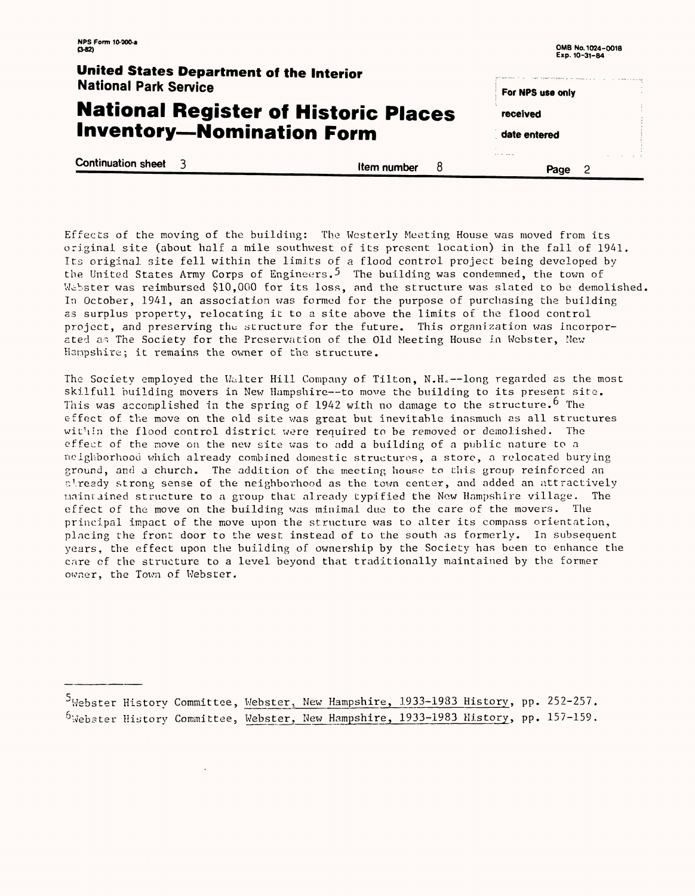| <b>NPS Form 10-000-a</b><br>$(3-82)$                                     |                  | OMB No. 1024-0018<br>Exp. 10-31-84                                                                                                 |  |
|--------------------------------------------------------------------------|------------------|------------------------------------------------------------------------------------------------------------------------------------|--|
| United States Department of the Interior<br><b>National Park Service</b> |                  | the position of a property service construction of the control of the control of the control of the control of<br>For NPS use only |  |
| <b>National Register of Historic Places</b>                              |                  | received                                                                                                                           |  |
| <b>Inventory-Nomination Form</b>                                         |                  | date entered                                                                                                                       |  |
| <b>Continuation sheet</b> 3                                              | 8<br>Item number | .<br>Page                                                                                                                          |  |

Effects of the moving of the building: The Westerly Meeting House was moved from its original site (about half a mile southwest of its present location) in the fall of 1941, Its original site fell within the limits of a flood control project being developed by the United States Army Corps of Engineers.<sup>5</sup> The building was condemned, the town of Webster was reimbursed \$10,000 for its loss, and the structure was slated to be demolished, In October, 1941, an association was formed for the purpose of purchasing the building as surplus property, relocating it to a site above the limits of the flood control project, and preserving the structure for the future. This organization was incorporated as The Society for the Preservation of the Old Meeting House in Webster, New Hampshire: it remains the owner of the structure.

The Society employed the Walter Hill Company of Tilton, N.H.--long regarded as the most skilfull building movers in New Hampshire--to move the building to its present site. This was accomplished in the spring of 1942 with no damage to the structure.<sup>6</sup> The effect of the move on the old site was great but inevitable inasmuch as all structures within the flood control district were required to be removed or demolished. The effect of the move on the new site was to add a building of a public nature to a neighborhood which already combined domestic structures, a store, a relocated burying ground, and a church. The addition of the meeting house to this group reinforced an already strong sense of the neighborhood as the town center, and added an attractively maintained structure to a group that, already typified the New Hampshire village. The effect of the move on the building was minimal due to the care of the movers. The principal impact of the move upon the structure was to alter its compass orientation, placing the front door to the west instead of to the south as formerly. In subsequent years, the effect upon the building of ownership by the Society has been to enhance the care of the structure to a level beyond that traditionally maintained by the former owner, the Town of Webster.

 $^5$ Webster History Committee, Webster, New Hampshire, 1933-1983 History, pp. 252-257.  $^6$ Webster History Committee, Webster, New Hampshire, 1933-1983 History, pp. 157-159.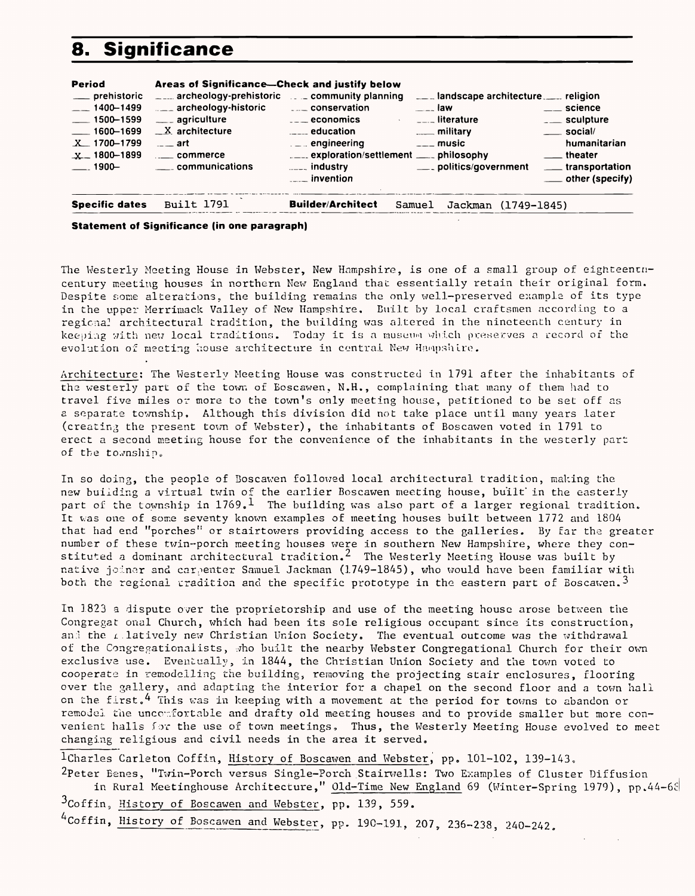# **8. Significance**

| <b>Period</b>                                                                                                                | Areas of Significance-Check and justify below                                                                                                                                                           |                                                                                                                                                                                                                                            |                                                                                                                                                                                                        |                                                                                                                                                                                |
|------------------------------------------------------------------------------------------------------------------------------|---------------------------------------------------------------------------------------------------------------------------------------------------------------------------------------------------------|--------------------------------------------------------------------------------------------------------------------------------------------------------------------------------------------------------------------------------------------|--------------------------------------------------------------------------------------------------------------------------------------------------------------------------------------------------------|--------------------------------------------------------------------------------------------------------------------------------------------------------------------------------|
| ___ prehistoric<br>$-$ 1400-1499<br>$\frac{1}{2}$ 1500-1599<br>$\frac{1600 - 1699}{ }$<br>$X$ 1700-1799<br>$X - 1800 - 1899$ | $\sim$ archeology-prehistoric $\sim$ community planning<br>$\Box$ archeology-historic<br>____ agriculture<br>$X$ architecture<br>$\overline{\phantom{a}}$ art<br>$\sim$ commerce<br>1900 Communications | <b>Example 10 CONSERVATION</b><br>$\overline{\phantom{a}}$ = $\overline{\phantom{a}}$ = economics<br>$\frac{1}{2}$ education<br>$\mathbb{L}$ = $\mathbb{L}$ engineering<br>$\sum_{n=-\infty}^{\infty}$ industry<br>$\frac{1}{2}$ invention | Let and scape architecture. Let religion<br>$\frac{1}{2}$ law<br>$\sim$ $\sim$ $\sim$ $\sim$ $\sim$ literature<br>$\frac{1}{2}$ military<br>$\overline{\phantom{a}}$ music<br>____ politics/government | $\rule{1em}{0.15mm}$ science<br>$\overline{\phantom{0}}$ sculpture<br>$\rule{1em}{0.15mm}$ social/<br>humanitarian<br>__ theater<br>___ transportation<br>____ other (specify) |
| <b>Specific dates</b>                                                                                                        | <b>Built 1791</b>                                                                                                                                                                                       | <b>Builder/Architect</b>                                                                                                                                                                                                                   | Samuel<br>Jackman (1749-1845)                                                                                                                                                                          |                                                                                                                                                                                |

The Westerly Meeting House in Webster, New Hampshire, is one of a small group of eighteenencentury meeting houses in northern New England that essentially retain their original form. Despite some alterations, the building remains the only well-preserved example of its type in the upper Merrimack Valley of New Hampshire, Built by local craftsmen according to a regional architectural tradition, the building was altered in the nineteenth century in keeping with new local traditions. Today it is a museum which preserves a record of the evolution of meeting house architecture in central New Hampshire.

Architecture: The Westerly Meeting House was constructed in 1791 after the inhabitants of the westerly part of the town of Boscawen, N.H., complaining that many of them had to travel five miles or more to the town's only meeting house, petitioned to be set off as a separate township. Although this division did not take place until many years later (creating the present town of Webster), the inhabitants of Boscawen voted in 1791 to erect a second meeting house for the convenience of the inhabitants in the westerly part of the township.

In so doing, the people of Boscawen followed local architectural tradition, making the new building a virtual twin of the earlier Boscawen meeting house, built in the easterly part of the township in  $1769.^1$  The building was also part of a larger regional tradition. It was one of some seventy known examples of meeting houses built between 1772 and 1804 that had end "porches" or stairtowers providing access to the galleries. By far the greater number of these twin-porch meeting houses were in southern New Hampshire, where they constituted a dominant architectural tradition. $^\angle$  The Westerly Meeting House was built by native joiner and carpenter Samuel Jackman (1749-1845), who would have been familiar with both the regional tradition and the specific prototype in the eastern part of Boscawen.<sup>3</sup>

### **Statement of Significance (in one paragraph)**

In 1823 a dispute over the proprietorship and use of the meeting house arose between the Congregat onal Church, which had been its sole religious occupant since its construction, and the relatively new Christian Union Society. The eventual outcome was the withdrawal of the Congregationalists, who built the nearby Webster Congregational Church for their own exclusive use. Eventually, in 1844, the Christian Union Society and the town voted to cooperate in remodelling the building, removing the projecting stair enclosures, flooring over the gallery, and adapting the interior for a chapel on the second floor and a town hall on the first.<sup>4</sup> This was in keeping with a movement at the period for towns to abandon or remodel the uncomfortable and drafty old meeting houses and to provide smaller but more convenient halls for the use of town meetings, Thus, the Westerly Meeting House evolved to meet changing religious and civil needs in the area it served,

1Charles Carleton Coffin, History of Boscawen and Webster, pp. 101-102, 139-143. <sup>2</sup>Peter Eenes, "Twin-Porch versus Single-Porch Stairwells: Two Examples of Cluster Diffusion in Rural Meetinghouse Architecture," Old-Time New England 69 (Winter-Spring 1979), pp.44-68  $^3$ Coffin, History of Boscawen and Webster, pp. 139, 559.

 $^{4}$ Coffin, History of Boscawen and Webster, pp. 190-191, 207, 236-238, 240-242.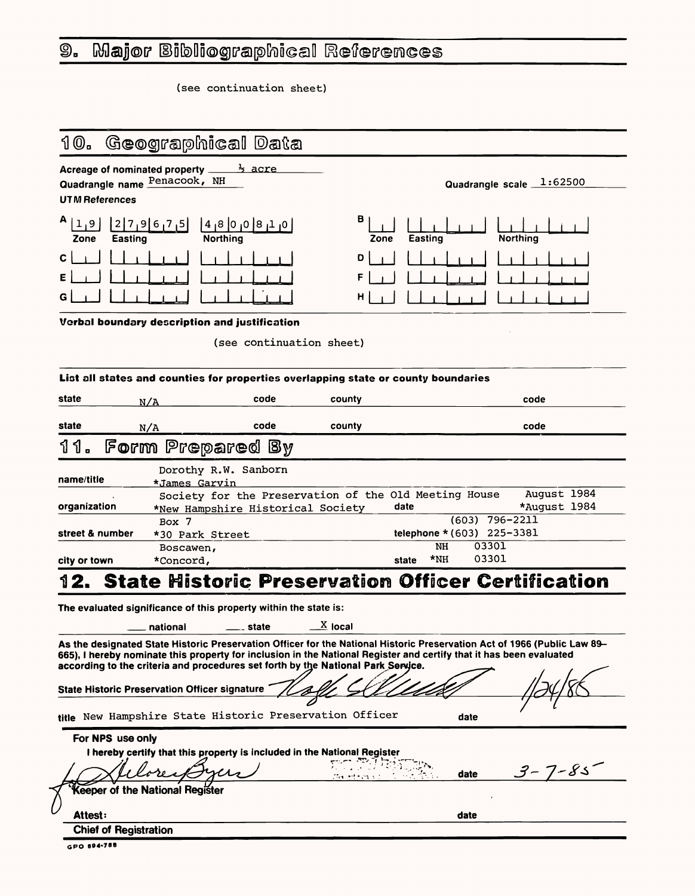### Major Bibliographical References  $\mathbf{\mathfrak{g}}$ .

(see continuation sheet)

#### Geographical Data  $10.$

Acreage of nominated property  $\frac{1}{2}$  acre<br>Quadrangle name  $\frac{\text{Penacook}}{\text{Penacook}}$ 

**UTM References** 

| A<br>$1911$<br>Zone | $ 2 7 9 675 $ $ 4 8 0 0$<br><b>Easting</b> | 0 <br>8<br><b>Northing</b> | B |
|---------------------|--------------------------------------------|----------------------------|---|
| $C \mid \quad \mid$ | $\overline{\phantom{a}}$                   |                            | n |
| E                   | $1$ $1$ $1$ $1$                            |                            | F |
| G                   | $1$ $1$ $1$ $1$                            |                            |   |

| B<br>Zone | ┸┸┸┺┹┷┷<br>Easting                                                                                                                                                                                                                                                                                                                                                                                                               | $\cup$<br><b>Northing</b> |
|-----------|----------------------------------------------------------------------------------------------------------------------------------------------------------------------------------------------------------------------------------------------------------------------------------------------------------------------------------------------------------------------------------------------------------------------------------|---------------------------|
| D         | $\begin{tabular}{c} \textbf{1} & \textbf{1} & \textbf{1} & \textbf{1} & \textbf{1} & \textbf{1} & \textbf{1} & \textbf{1} & \textbf{1} & \textbf{1} & \textbf{1} & \textbf{1} & \textbf{1} & \textbf{1} & \textbf{1} & \textbf{1} & \textbf{1} & \textbf{1} & \textbf{1} & \textbf{1} & \textbf{1} & \textbf{1} & \textbf{1} & \textbf{1} & \textbf{1} & \textbf{1} & \textbf{1} & \textbf{1} & \textbf{1} & \textbf{1} & \text$ |                           |
|           |                                                                                                                                                                                                                                                                                                                                                                                                                                  |                           |
|           | $\mathbf{1}$                                                                                                                                                                                                                                                                                                                                                                                                                     |                           |

Quadrangle scale 1:62500

**Verbal boundary description and justification**

(see continuation sheet)

665), I hereby nominate this property for inclusion in the National Register and certify that it has been evaluated according to the criteria and procedures set forth by the National Park Service.  $11$ 

| state           | N/A                                   | code | county                                                |                             |                  | code                        |
|-----------------|---------------------------------------|------|-------------------------------------------------------|-----------------------------|------------------|-----------------------------|
| state           | N/A                                   | code | county                                                |                             |                  | code                        |
|                 | 11. Form Prepared By                  |      |                                                       |                             |                  |                             |
| name/title      | Dorothy R.W. Sanborn<br>*James Garvin |      |                                                       |                             |                  |                             |
| organization    | *New Hampshire Historical Society     |      | Society for the Preservation of the Old Meeting House | date                        |                  | August 1984<br>*August 1984 |
|                 | Box 7                                 |      |                                                       |                             | $(603)$ 796-2211 |                             |
| street & number | *30 Park Street                       |      |                                                       | telephone $*(603)$ 225-3381 |                  |                             |
|                 | Boscawen,                             |      |                                                       | <b>NH</b>                   | 03301            |                             |
| city or town    | *Concord,                             |      |                                                       | $*NH$<br>state              | 03301            |                             |

The evaluated significance of this property within the state is:

 $\_$ national  $\_$ state  $\_$ X local

As the designated State Historic Preservation Officer for the National Historic Preservation Act of 1966 (Public Law 89-

| <b>State Historic Preservation Officer signature</b>                     |          |      |              |
|--------------------------------------------------------------------------|----------|------|--------------|
| title New Hampshire State Historic Preservation Officer                  |          | date |              |
| For NPS use only                                                         |          |      |              |
| I hereby certify that this property is included in the National Register |          |      |              |
|                                                                          | ごみ ヤーマッシ | date | $3 - 7 - 85$ |
| Keeper of the National Register                                          |          |      |              |
| <b>Attest:</b>                                                           |          | date |              |
| <b>Chief of Registration</b>                                             |          |      |              |
| GPO 894-788                                                              |          |      |              |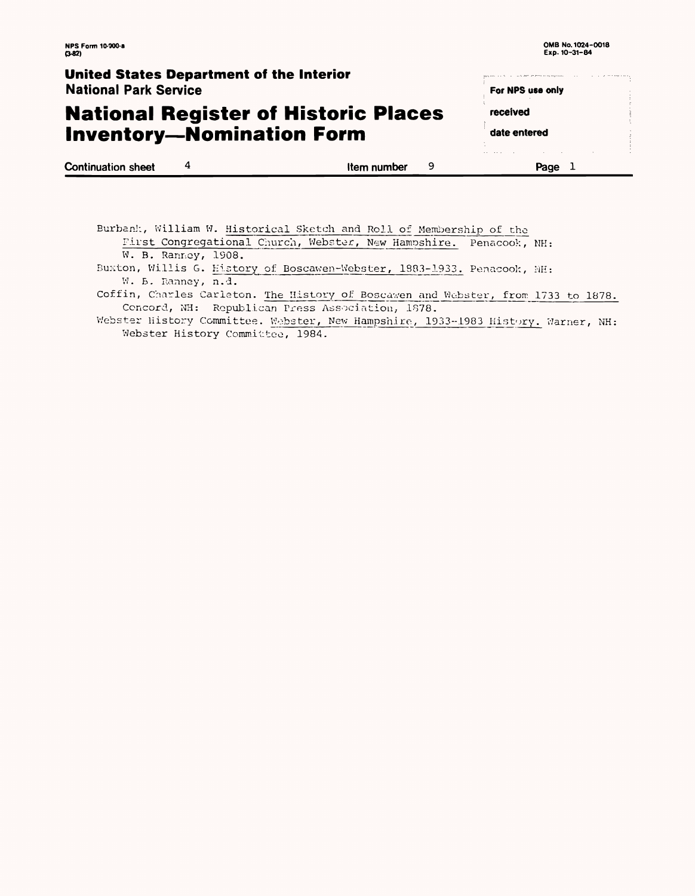ومستقيمه والمتعاونات والمتناور

parameters and a construction of the components of

For NPS use only

received

date entered

## **National Register of Historic Places Inventory-Nomination Form**

|                           |             |   | . |      |  |
|---------------------------|-------------|---|---|------|--|
| <b>Continuation sheet</b> | Item number | u |   | Page |  |

Burbank, William W. Historical Sketch\_and Roll of Membership of the First Congregational Church, Webster, New Hampshire. Penacook, NH: W. B. Ranney, 1908. Buxton, Willis G. History of Boscawen-Webster, 1883-1933. Penacook, MH: W. B. Ranney, n.d. Coffin, Charles Carleton. The History of Boscawen and Webster, from 1733 to 1878. Concord, NH: Republican Press Association, 1878. Webster History Committee. Webster, New Hampshire, 1933-1983 History. Warner, NH: Webster History Committee, 1984.

### **United States Department of the Interior** National Park Service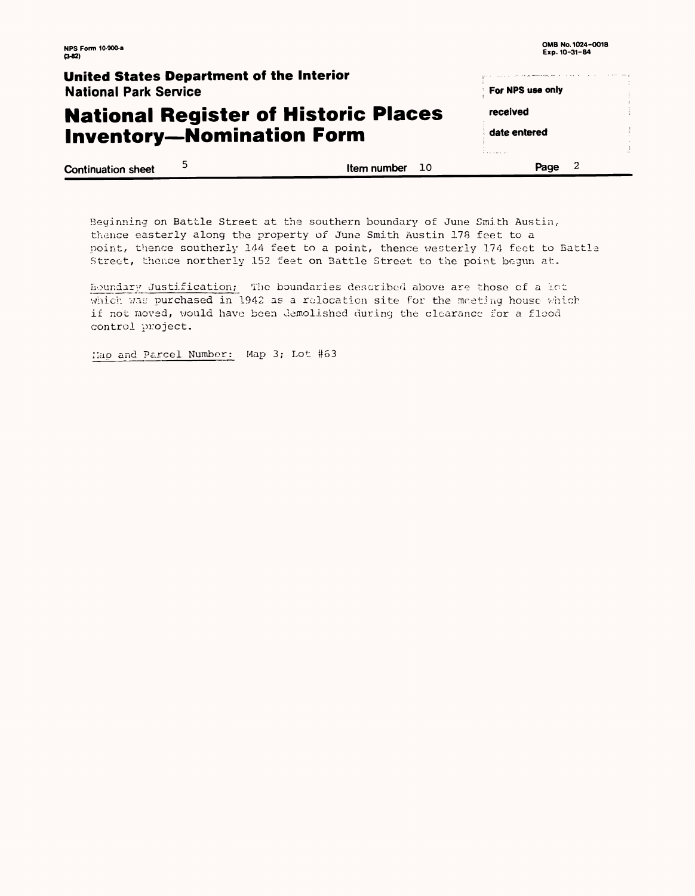| <b>NPS Form 10-000-a</b><br>(3-82                                               |   |                   | OMB No. 1024-0018<br>Exp. 10-31-84 |  |
|---------------------------------------------------------------------------------|---|-------------------|------------------------------------|--|
| United States Department of the Interior                                        |   |                   |                                    |  |
| <b>National Park Service</b>                                                    |   |                   | For NPS use only                   |  |
| <b>National Register of Historic Places</b><br><b>Inventory-Nomination Form</b> |   |                   | received                           |  |
|                                                                                 |   |                   | date entered                       |  |
|                                                                                 |   |                   |                                    |  |
| <b>Continuation sheet</b>                                                       | 5 | Item number<br>10 | Page                               |  |

Beginning on Battle Street at the southern boundary of June Smith Austin, thence easterly along the property of June Smith Austin 178 feet to a point, thence southerly 144 feet to a point, thence westerly 174 feet to Battle Street, thence northerly 152 feet on Battle Street to the point begun at.

Boundary Justification; The boundaries described above are those of a lot which was purchased in 1942 as a relocation site for the meeting house which if not moved, would have been demolished during the clearance for a flood control project.

: iap and Parcel Number: Map 3; Lot #63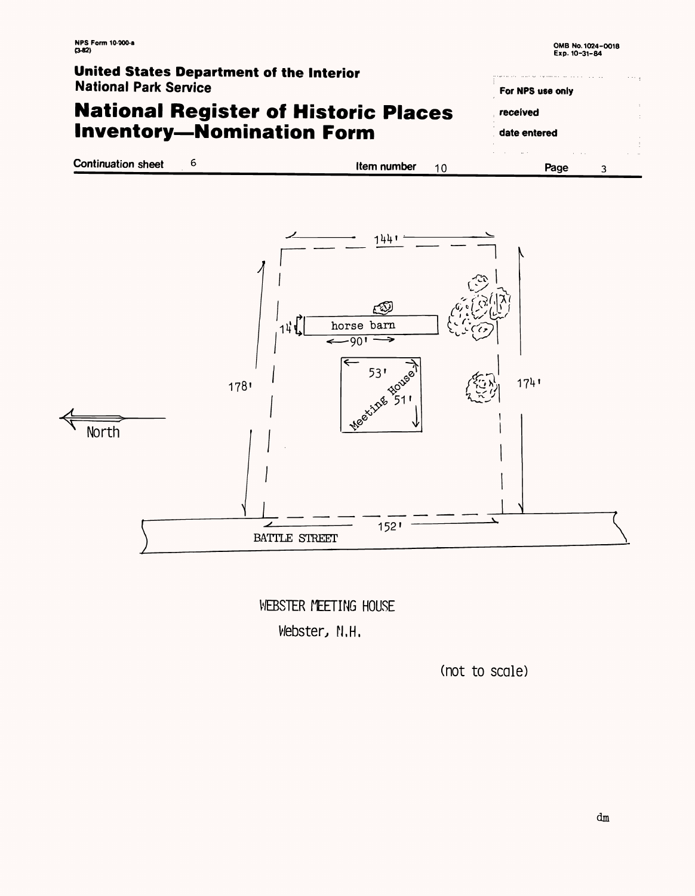## **National Register of Historic Places Inventory-Nomination Form**

**Continuation sheet Item number** 10

# **United States Department of the Interior**

National Park Service

WEBSTER MEETING HOUSE Vebster, N.H.

| For NPS use only |  |
|------------------|--|
| received         |  |
| date entered     |  |
|                  |  |
| ıе               |  |



### (not to scale)

dm